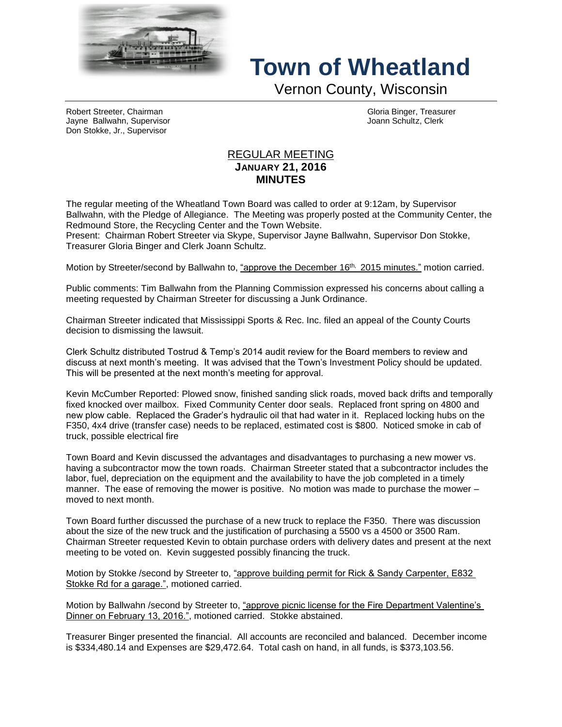

## **Town of Wheatland**

Vernon County, Wisconsin

Robert Streeter, Chairman Gloria Binger, Treasurer Jayne Ballwahn, Supervisor Joann Schultz, Clerk Don Stokke, Jr., Supervisor

## REGULAR MEETING **JANUARY 21, 2016 MINUTES**

The regular meeting of the Wheatland Town Board was called to order at 9:12am, by Supervisor Ballwahn, with the Pledge of Allegiance. The Meeting was properly posted at the Community Center, the Redmound Store, the Recycling Center and the Town Website.

Present: Chairman Robert Streeter via Skype, Supervisor Jayne Ballwahn, Supervisor Don Stokke, Treasurer Gloria Binger and Clerk Joann Schultz.

Motion by Streeter/second by Ballwahn to, "approve the December 16<sup>th, 2015</sup> minutes." motion carried.

Public comments: Tim Ballwahn from the Planning Commission expressed his concerns about calling a meeting requested by Chairman Streeter for discussing a Junk Ordinance.

Chairman Streeter indicated that Mississippi Sports & Rec. Inc. filed an appeal of the County Courts decision to dismissing the lawsuit.

Clerk Schultz distributed Tostrud & Temp's 2014 audit review for the Board members to review and discuss at next month's meeting. It was advised that the Town's Investment Policy should be updated. This will be presented at the next month's meeting for approval.

Kevin McCumber Reported: Plowed snow, finished sanding slick roads, moved back drifts and temporally fixed knocked over mailbox. Fixed Community Center door seals. Replaced front spring on 4800 and new plow cable. Replaced the Grader's hydraulic oil that had water in it. Replaced locking hubs on the F350, 4x4 drive (transfer case) needs to be replaced, estimated cost is \$800. Noticed smoke in cab of truck, possible electrical fire

Town Board and Kevin discussed the advantages and disadvantages to purchasing a new mower vs. having a subcontractor mow the town roads. Chairman Streeter stated that a subcontractor includes the labor, fuel, depreciation on the equipment and the availability to have the job completed in a timely manner. The ease of removing the mower is positive. No motion was made to purchase the mower – moved to next month.

Town Board further discussed the purchase of a new truck to replace the F350. There was discussion about the size of the new truck and the justification of purchasing a 5500 vs a 4500 or 3500 Ram. Chairman Streeter requested Kevin to obtain purchase orders with delivery dates and present at the next meeting to be voted on. Kevin suggested possibly financing the truck.

Motion by Stokke /second by Streeter to, "approve building permit for Rick & Sandy Carpenter, E832 Stokke Rd for a garage.", motioned carried.

Motion by Ballwahn /second by Streeter to, "approve picnic license for the Fire Department Valentine's Dinner on February 13, 2016.", motioned carried. Stokke abstained.

Treasurer Binger presented the financial. All accounts are reconciled and balanced. December income is \$334,480.14 and Expenses are \$29,472.64. Total cash on hand, in all funds, is \$373,103.56.